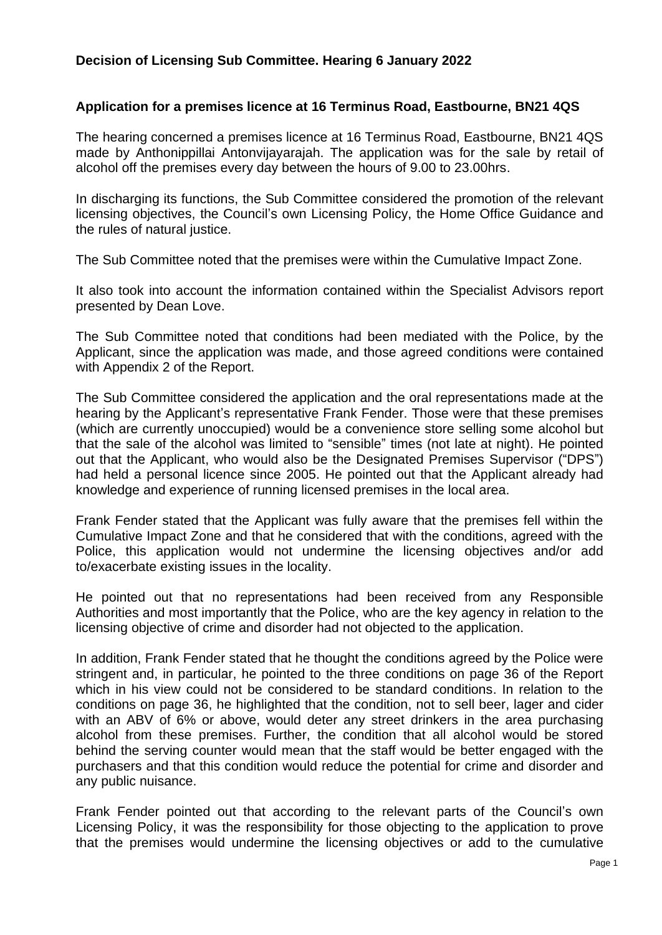## **Application for a premises licence at 16 Terminus Road, Eastbourne, BN21 4QS**

The hearing concerned a premises licence at 16 Terminus Road, Eastbourne, BN21 4QS made by Anthonippillai Antonvijayarajah. The application was for the sale by retail of alcohol off the premises every day between the hours of 9.00 to 23.00hrs.

In discharging its functions, the Sub Committee considered the promotion of the relevant licensing objectives, the Council's own Licensing Policy, the Home Office Guidance and the rules of natural justice.

The Sub Committee noted that the premises were within the Cumulative Impact Zone.

It also took into account the information contained within the Specialist Advisors report presented by Dean Love.

The Sub Committee noted that conditions had been mediated with the Police, by the Applicant, since the application was made, and those agreed conditions were contained with Appendix 2 of the Report.

The Sub Committee considered the application and the oral representations made at the hearing by the Applicant's representative Frank Fender. Those were that these premises (which are currently unoccupied) would be a convenience store selling some alcohol but that the sale of the alcohol was limited to "sensible" times (not late at night). He pointed out that the Applicant, who would also be the Designated Premises Supervisor ("DPS") had held a personal licence since 2005. He pointed out that the Applicant already had knowledge and experience of running licensed premises in the local area.

Frank Fender stated that the Applicant was fully aware that the premises fell within the Cumulative Impact Zone and that he considered that with the conditions, agreed with the Police, this application would not undermine the licensing objectives and/or add to/exacerbate existing issues in the locality.

He pointed out that no representations had been received from any Responsible Authorities and most importantly that the Police, who are the key agency in relation to the licensing objective of crime and disorder had not objected to the application.

In addition, Frank Fender stated that he thought the conditions agreed by the Police were stringent and, in particular, he pointed to the three conditions on page 36 of the Report which in his view could not be considered to be standard conditions. In relation to the conditions on page 36, he highlighted that the condition, not to sell beer, lager and cider with an ABV of 6% or above, would deter any street drinkers in the area purchasing alcohol from these premises. Further, the condition that all alcohol would be stored behind the serving counter would mean that the staff would be better engaged with the purchasers and that this condition would reduce the potential for crime and disorder and any public nuisance.

Frank Fender pointed out that according to the relevant parts of the Council's own Licensing Policy, it was the responsibility for those objecting to the application to prove that the premises would undermine the licensing objectives or add to the cumulative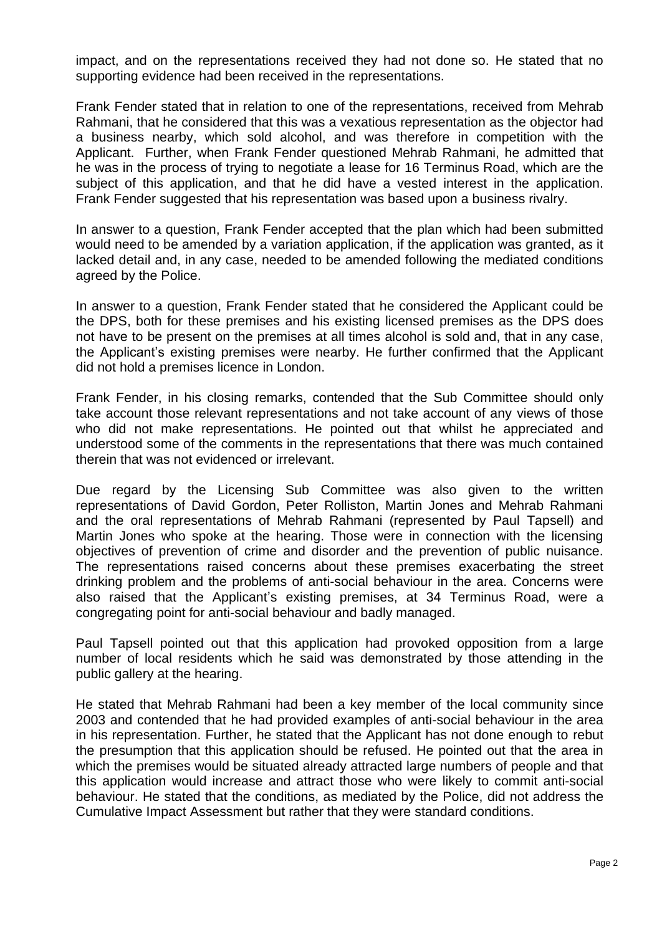impact, and on the representations received they had not done so. He stated that no supporting evidence had been received in the representations.

Frank Fender stated that in relation to one of the representations, received from Mehrab Rahmani, that he considered that this was a vexatious representation as the objector had a business nearby, which sold alcohol, and was therefore in competition with the Applicant. Further, when Frank Fender questioned Mehrab Rahmani, he admitted that he was in the process of trying to negotiate a lease for 16 Terminus Road, which are the subject of this application, and that he did have a vested interest in the application. Frank Fender suggested that his representation was based upon a business rivalry.

In answer to a question, Frank Fender accepted that the plan which had been submitted would need to be amended by a variation application, if the application was granted, as it lacked detail and, in any case, needed to be amended following the mediated conditions agreed by the Police.

In answer to a question, Frank Fender stated that he considered the Applicant could be the DPS, both for these premises and his existing licensed premises as the DPS does not have to be present on the premises at all times alcohol is sold and, that in any case, the Applicant's existing premises were nearby. He further confirmed that the Applicant did not hold a premises licence in London.

Frank Fender, in his closing remarks, contended that the Sub Committee should only take account those relevant representations and not take account of any views of those who did not make representations. He pointed out that whilst he appreciated and understood some of the comments in the representations that there was much contained therein that was not evidenced or irrelevant.

Due regard by the Licensing Sub Committee was also given to the written representations of David Gordon, Peter Rolliston, Martin Jones and Mehrab Rahmani and the oral representations of Mehrab Rahmani (represented by Paul Tapsell) and Martin Jones who spoke at the hearing. Those were in connection with the licensing objectives of prevention of crime and disorder and the prevention of public nuisance. The representations raised concerns about these premises exacerbating the street drinking problem and the problems of anti-social behaviour in the area. Concerns were also raised that the Applicant's existing premises, at 34 Terminus Road, were a congregating point for anti-social behaviour and badly managed.

Paul Tapsell pointed out that this application had provoked opposition from a large number of local residents which he said was demonstrated by those attending in the public gallery at the hearing.

He stated that Mehrab Rahmani had been a key member of the local community since 2003 and contended that he had provided examples of anti-social behaviour in the area in his representation. Further, he stated that the Applicant has not done enough to rebut the presumption that this application should be refused. He pointed out that the area in which the premises would be situated already attracted large numbers of people and that this application would increase and attract those who were likely to commit anti-social behaviour. He stated that the conditions, as mediated by the Police, did not address the Cumulative Impact Assessment but rather that they were standard conditions.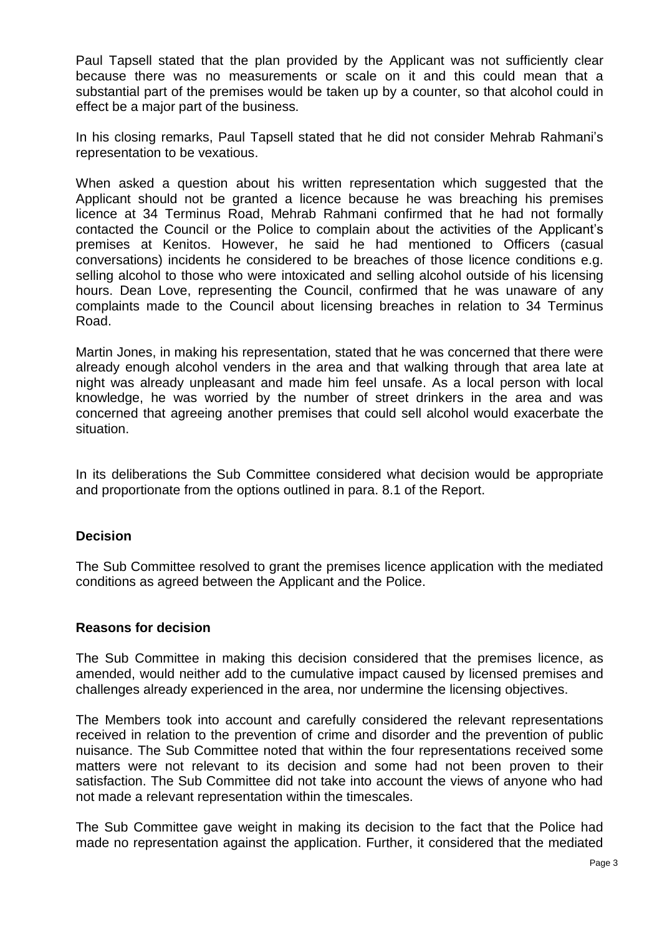Paul Tapsell stated that the plan provided by the Applicant was not sufficiently clear because there was no measurements or scale on it and this could mean that a substantial part of the premises would be taken up by a counter, so that alcohol could in effect be a major part of the business.

In his closing remarks, Paul Tapsell stated that he did not consider Mehrab Rahmani's representation to be vexatious.

When asked a question about his written representation which suggested that the Applicant should not be granted a licence because he was breaching his premises licence at 34 Terminus Road, Mehrab Rahmani confirmed that he had not formally contacted the Council or the Police to complain about the activities of the Applicant's premises at Kenitos. However, he said he had mentioned to Officers (casual conversations) incidents he considered to be breaches of those licence conditions e.g. selling alcohol to those who were intoxicated and selling alcohol outside of his licensing hours. Dean Love, representing the Council, confirmed that he was unaware of any complaints made to the Council about licensing breaches in relation to 34 Terminus Road.

Martin Jones, in making his representation, stated that he was concerned that there were already enough alcohol venders in the area and that walking through that area late at night was already unpleasant and made him feel unsafe. As a local person with local knowledge, he was worried by the number of street drinkers in the area and was concerned that agreeing another premises that could sell alcohol would exacerbate the situation.

In its deliberations the Sub Committee considered what decision would be appropriate and proportionate from the options outlined in para. 8.1 of the Report.

## **Decision**

The Sub Committee resolved to grant the premises licence application with the mediated conditions as agreed between the Applicant and the Police.

## **Reasons for decision**

The Sub Committee in making this decision considered that the premises licence, as amended, would neither add to the cumulative impact caused by licensed premises and challenges already experienced in the area, nor undermine the licensing objectives.

The Members took into account and carefully considered the relevant representations received in relation to the prevention of crime and disorder and the prevention of public nuisance. The Sub Committee noted that within the four representations received some matters were not relevant to its decision and some had not been proven to their satisfaction. The Sub Committee did not take into account the views of anyone who had not made a relevant representation within the timescales.

The Sub Committee gave weight in making its decision to the fact that the Police had made no representation against the application. Further, it considered that the mediated